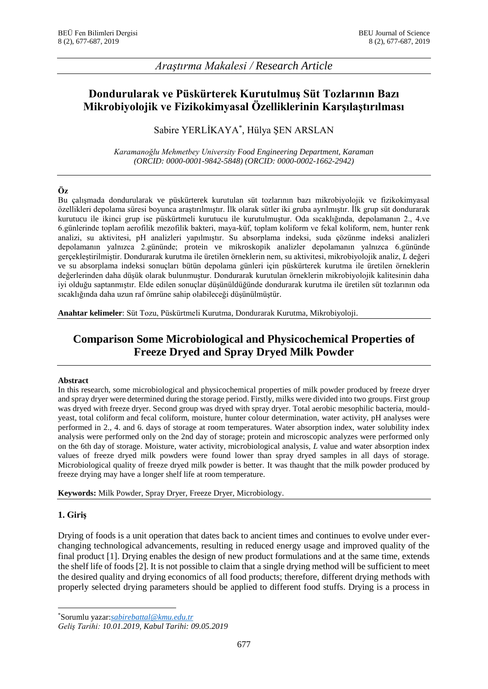## *Araştırma Makalesi / Research Article*

# **Dondurularak ve Püskürterek Kurutulmuş Süt Tozlarının Bazı Mikrobiyolojik ve Fizikokimyasal Özelliklerinin Karşılaştırılması**

## Sabire YERLİKAYA\* , Hülya ŞEN ARSLAN

*Karamanoğlu Mehmetbey University Food Engineering Department, Karaman (ORCID: 0000-0001-9842-5848) (ORCID: 0000-0002-1662-2942)*

### **Öz**

Bu çalışmada dondurularak ve püskürterek kurutulan süt tozlarının bazı mikrobiyolojik ve fizikokimyasal özellikleri depolama süresi boyunca araştırılmıştır. İlk olarak sütler iki gruba ayrılmıştır. İlk grup süt dondurarak kurutucu ile ikinci grup ise püskürtmeli kurutucu ile kurutulmuştur. Oda sıcaklığında, depolamanın 2., 4.ve 6.günlerinde toplam aerofilik mezofilik bakteri, maya-küf, toplam koliform ve fekal koliform, nem, hunter renk analizi, su aktivitesi, pH analizleri yapılmıştır. Su absorplama indeksi, suda çözünme indeksi analizleri depolamanın yalnızca 2.gününde; protein ve mikroskopik analizler depolamanın yalnızca 6.gününde gerçekleştirilmiştir. Dondurarak kurutma ile üretilen örneklerin nem, su aktivitesi, mikrobiyolojik analiz, *L* değeri ve su absorplama indeksi sonuçları bütün depolama günleri için püskürterek kurutma ile üretilen örneklerin değerlerinden daha düşük olarak bulunmuştur. Dondurarak kurutulan örneklerin mikrobiyolojik kalitesinin daha iyi olduğu saptanmıştır. Elde edilen sonuçlar düşünüldüğünde dondurarak kurutma ile üretilen süt tozlarının oda sıcaklığında daha uzun raf ömrüne sahip olabileceği düşünülmüştür.

**Anahtar kelimeler**: Süt Tozu, Püskürtmeli Kurutma, Dondurarak Kurutma, Mikrobiyoloji.

# **Comparison Some Microbiological and Physicochemical Properties of Freeze Dryed and Spray Dryed Milk Powder**

#### **Abstract**

In this research, some microbiological and physicochemical properties of milk powder produced by freeze dryer and spray dryer were determined during the storage period. Firstly, milks were divided into two groups. First group was dryed with freeze dryer. Second group was dryed with spray dryer. Total aerobic mesophilic bacteria, mouldyeast, total coliform and fecal coliform, moisture, hunter colour determination, water activity, pH analyses were performed in 2., 4. and 6. days of storage at room temperatures. Water absorption index, water solubility index analysis were performed only on the 2nd day of storage; protein and microscopic analyzes were performed only on the 6th day of storage. Moisture, water activity, microbiological analysis, *L* value and water absorption index values of freeze dryed milk powders were found lower than spray dryed samples in all days of storage. Microbiological quality of freeze dryed milk powder is better. It was thaught that the milk powder produced by freeze drying may have a longer shelf life at room temperature.

**Keywords:** Milk Powder, Spray Dryer, Freeze Dryer, Microbiology.

#### **1. Giriş**

**.** 

Drying of foods is a unit operation that dates back to ancient times and continues to evolve under everchanging technological advancements, resulting in reduced energy usage and improved quality of the final product [1]. Drying enables the design of new product formulations and at the same time, extends the shelf life of foods [2]. It is not possible to claim that a single drying method will be sufficient to meet the desired quality and drying economics of all food products; therefore, different drying methods with properly selected drying parameters should be applied to different food stuffs. Drying is a process in

<sup>\*</sup>Sorumlu yazar:*[sabirebattal@k](mailto:sabirebattal@)mu.edu.tr*

*Geliş Tarihi: 10.01.2019, Kabul Tarihi: 09.05.2019*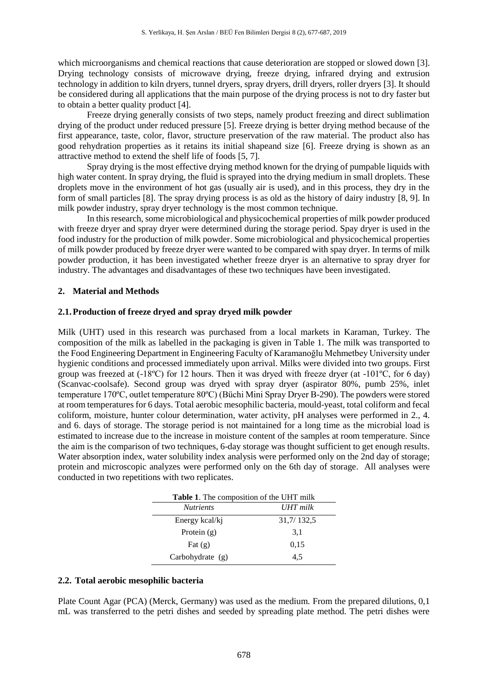which microorganisms and chemical reactions that cause deterioration are stopped or slowed down [3]. Drying technology consists of microwave drying, freeze drying, infrared drying and extrusion technology in addition to kiln dryers, tunnel dryers, spray dryers, drill dryers, roller dryers [3]. It should be considered during all applications that the main purpose of the drying process is not to dry faster but to obtain a better quality product [4].

Freeze drying generally consists of two steps, namely product freezing and direct sublimation drying of the product under reduced pressure [5]. Freeze drying is better drying method because of the first appearance, taste, color, flavor, structure preservation of the raw material. The product also has good rehydration properties as it retains its initial shapeand size [6]. Freeze drying is shown as an attractive method to extend the shelf life of foods [5, 7].

Spray drying is the most effective drying method known for the drying of pumpable liquids with high water content. In spray drying, the fluid is sprayed into the drying medium in small droplets. These droplets move in the environment of hot gas (usually air is used), and in this process, they dry in the form of small particles [8]. The spray drying process is as old as the history of dairy industry [8, 9]. In milk powder industry, spray dryer technology is the most common technique.

In this research, some microbiological and physicochemical properties of milk powder produced with freeze dryer and spray dryer were determined during the storage period. Spay dryer is used in the food industry for the production of milk powder. Some microbiological and physicochemical properties of milk powder produced by freeze dryer were wanted to be compared with spay dryer. In terms of milk powder production, it has been investigated whether freeze dryer is an alternative to spray dryer for industry. The advantages and disadvantages of these two techniques have been investigated.

#### **2. Material and Methods**

#### **2.1.Production of freeze dryed and spray dryed milk powder**

Milk (UHT) used in this research was purchased from a local markets in Karaman, Turkey. The composition of the milk as labelled in the packaging is given in Table 1. The milk was transported to the Food Engineering Department in Engineering Faculty of Karamanoğlu Mehmetbey University under hygienic conditions and processed immediately upon arrival. Milks were divided into two groups. First group was freezed at  $(-18^{\circ}\text{C})$  for 12 hours. Then it was dryed with freeze dryer (at  $-101^{\circ}\text{C}$ , for 6 day) (Scanvac-coolsafe). Second group was dryed with spray dryer (aspirator 80%, pumb 25%, inlet temperature 170ºC, outlet temperature 80ºC) (Büchi Mini Spray Dryer B-290). The powders were stored at room temperatures for 6 days. Total aerobic mesophilic bacteria, mould-yeast, total coliform and fecal coliform, moisture, hunter colour determination, water activity, pH analyses were performed in 2., 4. and 6. days of storage. The storage period is not maintained for a long time as the microbial load is estimated to increase due to the increase in moisture content of the samples at room temperature. Since the aim is the comparison of two techniques, 6-day storage was thought sufficient to get enough results. Water absorption index, water solubility index analysis were performed only on the 2nd day of storage; protein and microscopic analyzes were performed only on the 6th day of storage. All analyses were conducted in two repetitions with two replicates.

| Table 1. The composition of the UHT milk |            |  |  |  |
|------------------------------------------|------------|--|--|--|
| <b>Nutrients</b>                         | UHT milk   |  |  |  |
| Energy kcal/kj                           | 31,7/132,5 |  |  |  |
| Protein $(g)$                            | 3,1        |  |  |  |
| Fat $(g)$                                | 0.15       |  |  |  |
| Carbohydrate (g)                         | 4.5        |  |  |  |

#### **2.2. Total aerobic mesophilic bacteria**

Plate Count Agar (PCA) (Merck, Germany) was used as the medium. From the prepared dilutions, 0,1 mL was transferred to the petri dishes and seeded by spreading plate method. The petri dishes were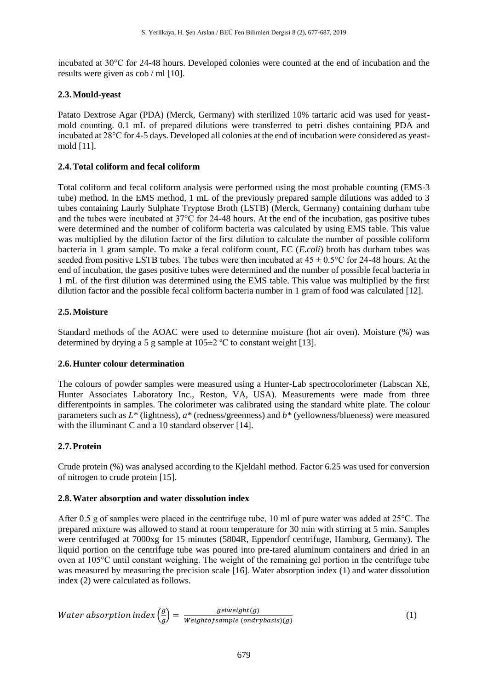incubated at 30°C for 24-48 hours. Developed colonies were counted at the end of incubation and the results were given as cob / ml [10].

## **2.3.Mould-yeast**

Patato Dextrose Agar (PDA) (Merck, Germany) with sterilized 10% tartaric acid was used for yeastmold counting. 0.1 mL of prepared dilutions were transferred to petri dishes containing PDA and incubated at 28°C for 4-5 days. Developed all colonies at the end of incubation were considered as yeastmold [11].

## **2.4.Total coliform and fecal coliform**

Total coliform and fecal coliform analysis were performed using the most probable counting (EMS-3 tube) method. In the EMS method, 1 mL of the previously prepared sample dilutions was added to 3 tubes containing Laurly Sulphate Tryptose Broth (LSTB) (Merck, Germany) containing durham tube and the tubes were incubated at 37°C for 24-48 hours. At the end of the incubation, gas positive tubes were determined and the number of coliform bacteria was calculated by using EMS table. This value was multiplied by the dilution factor of the first dilution to calculate the number of possible coliform bacteria in 1 gram sample. To make a fecal coliform count, EC (*E.coli*) broth has durham tubes was seeded from positive LSTB tubes. The tubes were then incubated at  $45 \pm 0.5^{\circ}$ C for 24-48 hours. At the end of incubation, the gases positive tubes were determined and the number of possible fecal bacteria in 1 mL of the first dilution was determined using the EMS table. This value was multiplied by the first dilution factor and the possible fecal coliform bacteria number in 1 gram of food was calculated [12].

## **2.5.Moisture**

Standard methods of the AOAC were used to determine moisture (hot air oven). Moisture (%) was determined by drying a 5 g sample at  $105\pm2$  °C to constant weight [13].

## **2.6.Hunter colour determination**

The colours of powder samples were measured using a Hunter-Lab spectrocolorimeter (Labscan XE, Hunter Associates Laboratory Inc., Reston, VA, USA). Measurements were made from three differentpoints in samples. The colorimeter was calibrated using the standard white plate. The colour parameters such as *L\** (lightness), *a\** (redness/greenness) and *b\** (yellowness/blueness) were measured with the illuminant C and a 10 standard observer [14].

## **2.7.Protein**

Crude protein (%) was analysed according to the Kjeldahl method. Factor 6.25 was used for conversion of nitrogen to crude protein [15].

#### **2.8.Water absorption and water dissolution index**

After 0.5 g of samples were placed in the centrifuge tube, 10 ml of pure water was added at 25°C. The prepared mixture was allowed to stand at room temperature for 30 min with stirring at 5 min. Samples were centrifuged at 7000xg for 15 minutes (5804R, Eppendorf centrifuge, Hamburg, Germany). The liquid portion on the centrifuge tube was poured into pre-tared aluminum containers and dried in an oven at 105°C until constant weighing. The weight of the remaining gel portion in the centrifuge tube was measured by measuring the precision scale [16]. Water absorption index (1) and water dissolution index (2) were calculated as follows.

Water absorption index 
$$
\left(\frac{g}{g}\right) = \frac{gelweight(g)}{Weight of sample (ondrybasis)(g)}
$$
 (1)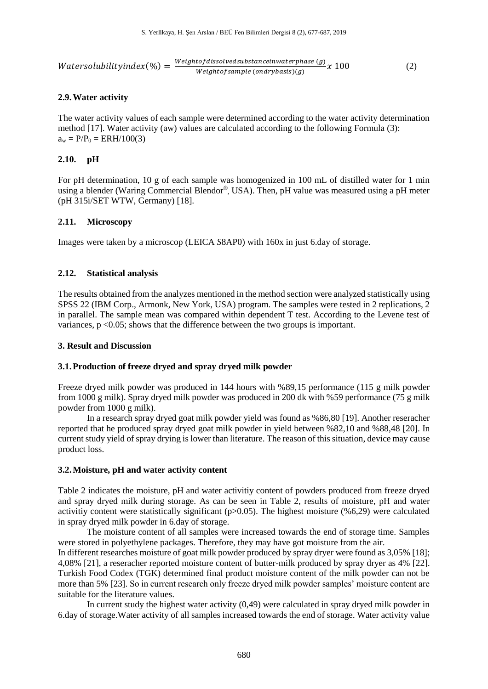$Water solubility index (\%) = \frac{Weight of dissolved substance in water phase (g)}{Weight of sound (g)}/x 100$  (2)  $Weiaht of sample (ondry basis)(q)$ 

### **2.9.Water activity**

The water activity values of each sample were determined according to the water activity determination method [17]. Water activity (aw) values are calculated according to the following Formula (3):  $a_w = P/P_0 = ERH/100(3)$ 

#### **2.10. pH**

For pH determination, 10 g of each sample was homogenized in 100 mL of distilled water for 1 min using a blender (Waring Commercial Blendor®, USA). Then, pH value was measured using a pH meter (pH 315i/SET WTW, Germany) [18].

### **2.11. Microscopy**

Images were taken by a microscop (LEICA *S*8AP0) with 160x in just 6.day of storage.

### **2.12. Statistical analysis**

The results obtained from the analyzes mentioned in the method section were analyzed statistically using SPSS 22 (IBM Corp., Armonk, New York, USA) program. The samples were tested in 2 replications, 2 in parallel. The sample mean was compared within dependent T test. According to the Levene test of variances, p <0.05; shows that the difference between the two groups is important.

#### **3. Result and Discussion**

#### **3.1.Production of freeze dryed and spray dryed milk powder**

Freeze dryed milk powder was produced in 144 hours with %89,15 performance (115 g milk powder from 1000 g milk). Spray dryed milk powder was produced in 200 dk with %59 performance (75 g milk powder from 1000 g milk).

In a research spray dryed goat milk powder yield was found as %86,80 [19]. Another reseracher reported that he produced spray dryed goat milk powder in yield between %82,10 and %88,48 [20]. In current study yield of spray drying is lower than literature. The reason of this situation, device may cause product loss.

#### **3.2.Moisture, pH and water activity content**

Table 2 indicates the moisture, pH and water activitiy content of powders produced from freeze dryed and spray dryed milk during storage. As can be seen in Table 2, results of moisture, pH and water activitiy content were statistically significant ( $p>0.05$ ). The highest moisture (%6,29) were calculated in spray dryed milk powder in 6.day of storage.

The moisture content of all samples were increased towards the end of storage time. Samples were stored in polyethylene packages. Therefore, they may have got moisture from the air. In different researches moisture of goat milk powder produced by spray dryer were found as 3,05% [18]; 4,08% [21], a reseracher reported moisture content of butter-milk produced by spray dryer as 4% [22]. Turkish Food Codex (TGK) determined final product moisture content of the milk powder can not be more than 5% [23]. So in current research only freeze dryed milk powder samples' moisture content are suitable for the literature values.

In current study the highest water activity (0,49) were calculated in spray dryed milk powder in 6.day of storage.Water activity of all samples increased towards the end of storage. Water activity value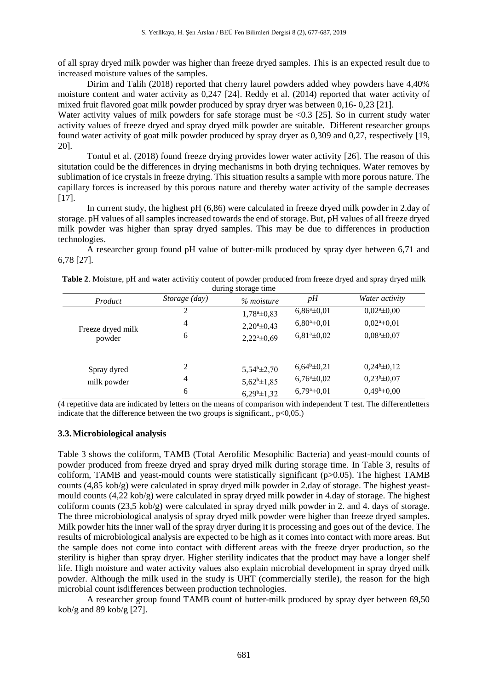of all spray dryed milk powder was higher than freeze dryed samples. This is an expected result due to increased moisture values of the samples.

Dirim and Talih (2018) reported that cherry laurel powders added whey powders have 4,40% moisture content and water activity as 0,247 [24]. Reddy et al. (2014) reported that water activity of mixed fruit flavored goat milk powder produced by spray dryer was between 0,16- 0,23 [21].

Water activity values of milk powders for safe storage must be <0.3 [25]. So in current study water activity values of freeze dryed and spray dryed milk powder are suitable. Different researcher groups found water activity of goat milk powder produced by spray dryer as 0,309 and 0,27, respectively [19, 20].

Tontul et al. (2018) found freeze drying provides lower water activity [26]. The reason of this situtation could be the differences in drying mechanisms in both drying techniques. Water removes by sublimation of ice crystals in freeze drying. This situation results a sample with more porous nature. The capillary forces is increased by this porous nature and thereby water activity of the sample decreases  $[17]$ .

In current study, the highest pH (6,86) were calculated in freeze dryed milk powder in 2.day of storage. pH values of all samples increased towards the end of storage. But, pH values of all freeze dryed milk powder was higher than spray dryed samples. This may be due to differences in production technologies.

A researcher group found pH value of butter-milk produced by spray dyer between 6,71 and 6,78 [27].

| Product           | Storage (day)  | uming storage time<br>% moisture | pH                      | Water activity              |
|-------------------|----------------|----------------------------------|-------------------------|-----------------------------|
|                   | 2              | $1,78^{\mathrm{a}}\pm0,83$       | $6,86^a \pm 0,01$       | $0.02^{\mathrm{a}}\pm 0.00$ |
| Freeze dryed milk | $\overline{4}$ | $2,20^{\circ} \pm 0,43$          | $6,80^a \pm 0,01$       | $0.02^{\mathrm{a}}\pm0.01$  |
| powder            | 6              | $2,22^{\mathrm{a}}\pm0,69$       | $6,81^{\circ} \pm 0,02$ | $0.08^a \pm 0.07$           |
| Spray dyred       | 2              | $5,54^b \pm 2,70$                | $6,64^b \pm 0,21$       | $0,24^b \pm 0,12$           |
| milk powder       | 4              | $5,62^b \pm 1,85$                | $6,76^{\circ}\pm0,02$   | $0,23^b \pm 0,07$           |
|                   | 6              | $6,29^b \pm 1,32$                | $6,79^{\circ} \pm 0,01$ | $0,49^b \pm 0,00$           |

| Table 2. Moisture, pH and water activitiy content of powder produced from freeze dryed and spray dryed milk |  |  |  |  |  |  |  |  |  |  |  |  |
|-------------------------------------------------------------------------------------------------------------|--|--|--|--|--|--|--|--|--|--|--|--|
| during storage time                                                                                         |  |  |  |  |  |  |  |  |  |  |  |  |

(4 repetitive data are indicated by letters on the means of comparison with independent T test. The differentletters indicate that the difference between the two groups is significant.,  $p<0.05$ .)

#### **3.3.Microbiological analysis**

Table 3 shows the coliform, TAMB (Total Aerofilic Mesophilic Bacteria) and yeast-mould counts of powder produced from freeze dryed and spray dryed milk during storage time. In Table 3, results of coliform, TAMB and yeast-mould counts were statistically significant (p>0.05). The highest TAMB counts (4,85 kob/g) were calculated in spray dryed milk powder in 2.day of storage. The highest yeastmould counts (4,22 kob/g) were calculated in spray dryed milk powder in 4.day of storage. The highest coliform counts (23,5 kob/g) were calculated in spray dryed milk powder in 2. and 4. days of storage. The three microbiological analysis of spray dryed milk powder were higher than freeze dryed samples. Milk powder hits the inner wall of the spray dryer during it is processing and goes out of the device. The results of microbiological analysis are expected to be high as it comes into contact with more areas. But the sample does not come into contact with different areas with the freeze dryer production, so the sterility is higher than spray dryer. Higher sterility indicates that the product may have a longer shelf life. High moisture and water activity values also explain microbial development in spray dryed milk powder. Although the milk used in the study is UHT (commercially sterile), the reason for the high microbial count isdifferences between production technologies.

A researcher group found TAMB count of butter-milk produced by spray dyer between 69,50 kob/g and  $89$  kob/g [27].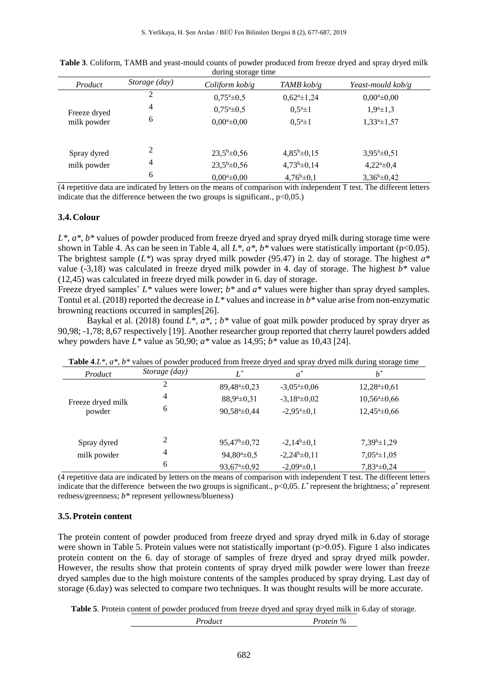| Product      | Storage (day) | Coliform $k$ ob/g      | TAMB $kob/g$               | Yeast-mould $kob/g$       |
|--------------|---------------|------------------------|----------------------------|---------------------------|
|              | 2             | $0,75^{\circ} \pm 0,5$ | $0.62^{\mathrm{a}}\pm1.24$ | $0.00^a \pm 0.00$         |
| Freeze dryed | 4             | $0,75^{\circ} \pm 0,5$ | $0.5^a \pm 1$              | $1,9^a \pm 1,3$           |
| milk powder  | 6             | $0.00^a \pm 0.00$      | $0.5^a \pm 1$              | $1,33^a \pm 1,57$         |
|              |               |                        |                            |                           |
| Spray dyred  | 2             | $23.5^b \pm 0.56$      | $4,85^b \pm 0,15$          | $3,95^{\circ} \pm 0,51$   |
| milk powder  | 4             | $23.5^b \pm 0.56$      | $4,73^b \pm 0,14$          | $4,22^{\mathrm{a}}\pm0,4$ |
|              | 6             | $0.00^a \pm 0.00$      | $4,76^b \pm 0,1$           | $3,36^b \pm 0,42$         |

**Table 3**. Coliform, TAMB and yeast-mould counts of powder produced from freeze dryed and spray dryed milk during storage time

(4 repetitive data are indicated by letters on the means of comparison with independent T test. The different letters indicate that the difference between the two groups is significant.,  $p<0,05$ .)

#### **3.4.Colour**

*L\**, *a\**, *b\** values of powder produced from freeze dryed and spray dryed milk during storage time were shown in Table 4. As can be seen in Table 4, all  $L^*$ ,  $a^*$ ,  $b^*$  values were statistically important (p<0.05). The brightest sample (*L\**) was spray dryed milk powder (95.47) in 2. day of storage. The highest *a\**  value (-3,18) was calculated in freeze dryed milk powder in 4. day of storage. The highest *b\** value (12,45) was calculated in freeze dryed milk powder in 6. day of storage.

Freeze dryed samples' *L\** values were lower; *b\** and *a\** values were higher than spray dryed samples. Tontul et al. (2018) reported the decrease in *L\** values and increase in *b\** value arise from non-enzymatic browning reactions occurred in samples[26].

Baykal et al. (2018) found  $\overline{L^*}, a^*$ ,  $\overline{b^*}$  value of goat milk powder produced by spray dryer as 90,98; -1,78; 8,67 respectively [19]. Another researcher group reported that cherry laurel powders added whey powders have  $L^*$  value as 50,90;  $a^*$  value as 14,95;  $b^*$  value as 10,43 [24].

| Product           | Storage (day) | $L^*$                       | $a^*$                      | $b^*$                       |
|-------------------|---------------|-----------------------------|----------------------------|-----------------------------|
| Freeze dryed milk | 2             | $89,48^{\circ} \pm 0,23$    | $-3,05^{\circ} \pm 0,06$   | $12,28^{\mathrm{a}}\pm0,61$ |
|                   | 4             | $88,9^a \pm 0,31$           | $-3,18^a \pm 0,02$         | $10,56^{\mathrm{a}}\pm0,66$ |
| powder            | 6             | $90,58^{\mathrm{a}}\pm0,44$ | $-2,95^{\mathrm{a}}\pm0,1$ | $12,45^{\mathrm{a}}\pm0,66$ |
|                   |               |                             |                            |                             |
| Spray dyred       | 2             | $95,47^b \pm 0,72$          | $-2,14^b \pm 0,1$          | $7,39^b \pm 1,29$           |
| milk powder       | 4             | $94,80^a \pm 0.5$           | $-2,24^b \pm 0,11$         | $7,05^a \pm 1,05$           |
|                   | 6             | $93,67^{\circ} \pm 0.92$    | $-2,09^a \pm 0,1$          | $7,83^a \pm 0,24$           |

**Table 4**.*L\**, *a\**, *b\** values of powder produced from freeze dryed and spray dryed milk during storage time

(4 repetitive data are indicated by letters on the means of comparison with independent T test. The different letters indicate that the difference between the two groups is significant.,  $p<0,05$ .  $L^*$  represent the brightness;  $a^*$  represent redness/greenness; *b\** represent yellowness/blueness)

#### **3.5.Protein content**

The protein content of powder produced from freeze dryed and spray dryed milk in 6.day of storage were shown in Table 5. Protein values were not statistically important  $(p>0.05)$ . Figure 1 also indicates protein content on the 6. day of storage of samples of freze dryed and spray dryed milk powder. However, the results show that protein contents of spray dryed milk powder were lower than freeze dryed samples due to the high moisture contents of the samples produced by spray drying. Last day of storage (6.day) was selected to compare two techniques. It was thought results will be more accurate.

**Table 5**. Protein content of powder produced from freeze dryed and spray dryed milk in 6.day of storage.

*Product Protein %*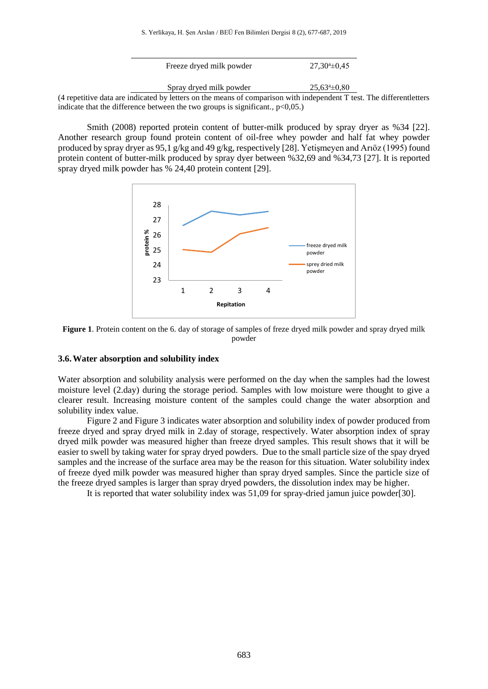| Freeze dryed milk powder                                                                                              | $27.30^{\circ} \pm 0.45$ |  |
|-----------------------------------------------------------------------------------------------------------------------|--------------------------|--|
| Spray dryed milk powder                                                                                               | $25.63^{\circ} \pm 0.80$ |  |
| (4 repetitive data are indicated by letters on the means of comparison with independent T test. The different letters |                          |  |
| indicate that the difference between the two groups is significant., $p<0.05$ .)                                      |                          |  |

Smith (2008) reported protein content of butter-milk produced by spray dryer as %34 [22]. Another research group found protein content of oil-free whey powder and half fat whey powder produced by spray dryer as 95,1 g/kg and 49 g/kg, respectively [28]. Yetişmeyen and Arıöz (1995) found protein content of butter-milk produced by spray dyer between %32,69 and %34,73 [27]. It is reported spray dryed milk powder has % 24,40 protein content [29].



**Figure 1**. Protein content on the 6. day of storage of samples of freze dryed milk powder and spray dryed milk powder

#### **3.6.Water absorption and solubility index**

Water absorption and solubility analysis were performed on the day when the samples had the lowest moisture level (2.day) during the storage period. Samples with low moisture were thought to give a clearer result. Increasing moisture content of the samples could change the water absorption and solubility index value.

Figure 2 and Figure 3 indicates water absorption and solubility index of powder produced from freeze dryed and spray dryed milk in 2.day of storage, respectively. Water absorption index of spray dryed milk powder was measured higher than freeze dryed samples. This result shows that it will be easier to swell by taking water for spray dryed powders. Due to the small particle size of the spay dryed samples and the increase of the surface area may be the reason for this situation. Water solubility index of freeze dyed milk powder was measured higher than spray dryed samples. Since the particle size of the freeze dryed samples is larger than spray dryed powders, the dissolution index may be higher.

It is reported that water solubility index was 51,09 for spray-dried jamun juice powder[30].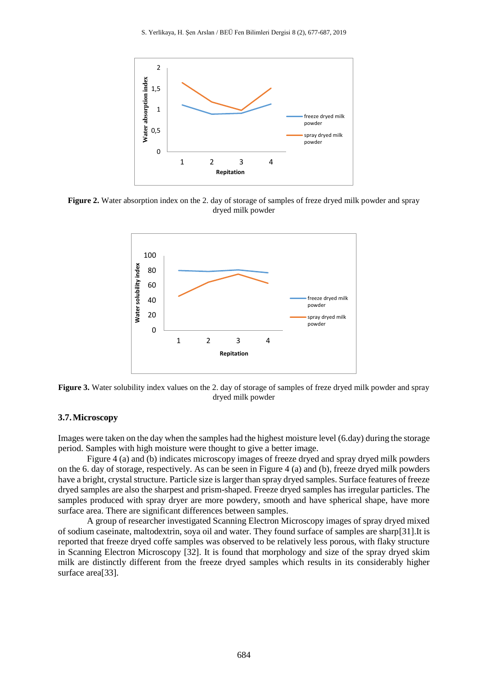

**Figure 2.** Water absorption index on the 2. day of storage of samples of freze dryed milk powder and spray dryed milk powder



**Figure 3.** Water solubility index values on the 2. day of storage of samples of freze dryed milk powder and spray dryed milk powder

#### **3.7.Microscopy**

Images were taken on the day when the samples had the highest moisture level (6.day) during the storage period. Samples with high moisture were thought to give a better image.

Figure 4 (a) and (b) indicates microscopy images of freeze dryed and spray dryed milk powders on the 6. day of storage, respectively. As can be seen in Figure 4 (a) and (b), freeze dryed milk powders have a bright, crystal structure. Particle size is larger than spray dryed samples. Surface features of freeze dryed samples are also the sharpest and prism-shaped. Freeze dryed samples has irregular particles. The samples produced with spray dryer are more powdery, smooth and have spherical shape, have more surface area. There are significant differences between samples.

A group of researcher investigated Scanning Electron Microscopy images of spray dryed mixed of sodium caseinate, maltodextrin, soya oil and water. They found surface of samples are sharp[31].It is reported that freeze dryed coffe samples was observed to be relatively less porous, with flaky structure in Scanning Electron Microscopy [32]. It is found that morphology and size of the spray dryed skim milk are distinctly different from the freeze dryed samples which results in its considerably higher surface area<sup>[33]</sup>.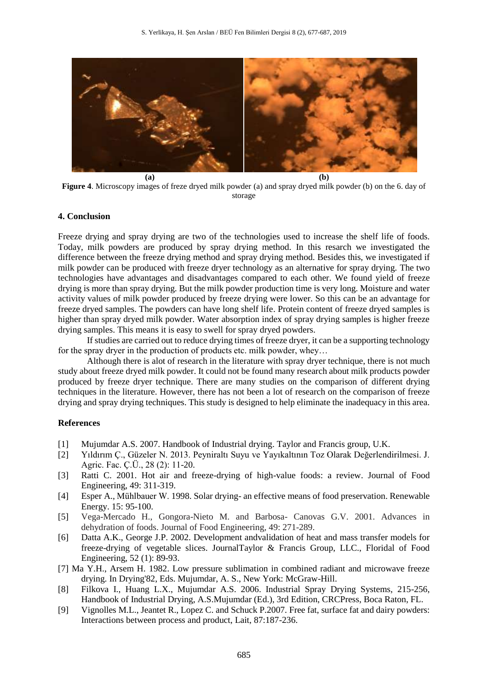

**Figure 4**. Microscopy images of freze dryed milk powder (a) and spray dryed milk powder (b) on the 6. day of storage

#### **4. Conclusion**

Freeze drying and spray drying are two of the technologies used to increase the shelf life of foods. Today, milk powders are produced by spray drying method. In this resarch we investigated the difference between the freeze drying method and spray drying method. Besides this, we investigated if milk powder can be produced with freeze dryer technology as an alternative for spray drying. The two technologies have advantages and disadvantages compared to each other. We found yield of freeze drying is more than spray drying. But the milk powder production time is very long. Moisture and water activity values of milk powder produced by freeze drying were lower. So this can be an advantage for freeze dryed samples. The powders can have long shelf life. Protein content of freeze dryed samples is higher than spray dryed milk powder. Water absorption index of spray drying samples is higher freeze drying samples. This means it is easy to swell for spray dryed powders.

If studies are carried out to reduce drying times of freeze dryer, it can be a supporting technology for the spray dryer in the production of products etc. milk powder, whey...

Although there is alot of research in the literature with spray dryer technique, there is not much study about freeze dryed milk powder. It could not be found many research about milk products powder produced by freeze dryer technique. There are many studies on the comparison of different drying techniques in the literature. However, there has not been a lot of research on the comparison of freeze drying and spray drying techniques. This study is designed to help eliminate the inadequacy in this area.

#### **References**

- [1] Mujumdar A.S. 2007. Handbook of Industrial drying. Taylor and Francis group, U.K.
- [2] Yıldırım Ç., Güzeler N. 2013. Peyniraltı Suyu ve Yayıkaltının Toz Olarak Değerlendirilmesi. J. Agric. Fac. Ç.Ü., 28 (2): 11-20.
- [3] Ratti C. 2001. Hot air and freeze-drying of high-value foods: a review. Journal of Food Engineering, 49: 311-319.
- [4] Esper A., Mühlbauer W. 1998. Solar drying- an effective means of food preservation. Renewable Energy. 15: 95-100.
- [5] Vega-Mercado H., Gongora-Nieto M. and Barbosa- Canovas G.V. 2001. Advances in dehydration of foods. Journal of Food Engineering, 49: 271-289.
- [6] Datta A.K., George J.P. 2002. Development andvalidation of heat and mass transfer models for freeze-drying of vegetable slices. JournalTaylor & Francis Group, LLC., Floridal of Food Engineering, 52 (1): 89-93.
- [7] Ma Y.H., Arsem H. 1982. Low pressure sublimation in combined radiant and microwave freeze drying. In Drying'82, Eds. Mujumdar, A. S., New York: McGraw-Hill.
- [8] Filkova I., Huang L.X., Mujumdar A.S. 2006. Industrial Spray Drying Systems, 215-256, Handbook of Industrial Drying, A.S.Mujumdar (Ed.), 3rd Edition, CRCPress, Boca Raton, FL.
- [9] Vignolles M.L., Jeantet R., Lopez C. and Schuck P.2007. Free fat, surface fat and dairy powders: Interactions between process and product, Lait, 87:187-236.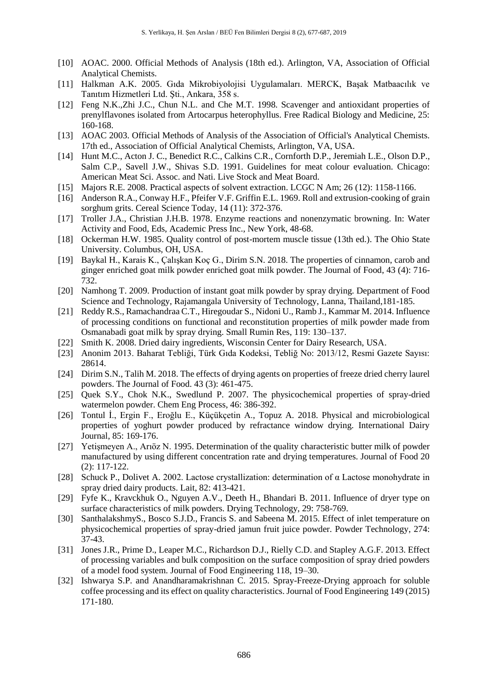- [10] AOAC. 2000. Official Methods of Analysis (18th ed.). Arlington, VA, Association of Official Analytical Chemists.
- [11] Halkman A.K. 2005. Gıda Mikrobiyolojisi Uygulamaları. MERCK, Başak Matbaacılık ve Tanıtım Hizmetleri Ltd. Şti., Ankara, 358 s.
- [12] Feng N.K.,Zhi J.C., Chun N.L. and Che M.T. 1998. Scavenger and antioxidant properties of prenylflavones isolated from Artocarpus heterophyllus. Free Radical Biology and Medicine, 25: 160-168.
- [13] AOAC 2003. Official Methods of Analysis of the Association of Official's Analytical Chemists. 17th ed., Association of Official Analytical Chemists, Arlington, VA, USA.
- [14] Hunt M.C., Acton J. C., Benedict R.C., Calkins C.R., Cornforth D.P., Jeremiah L.E., Olson D.P., Salm C.P., Savell J.W., Shivas S.D. 1991. Guidelines for meat colour evaluation. Chicago: American Meat Sci. Assoc. and Nati. Live Stock and Meat Board.
- [15] Majors R.E. 2008. Practical aspects of solvent extraction. LCGC N Am; 26 (12): 1158-1166.
- [16] Anderson R.A., Conway H.F., Pfeifer V.F. Griffin E.L. 1969. Roll and extrusion-cooking of grain sorghum grits. Cereal Science Today, 14 (11): 372-376.
- [17] Troller J.A., Christian J.H.B. 1978. Enzyme reactions and nonenzymatic browning. In: Water Activity and Food, Eds, Academic Press Inc., New York, 48-68.
- [18] Ockerman H.W. 1985. Quality control of post-mortem muscle tissue (13th ed.). The Ohio State University. Columbus, OH, USA.
- [19] Baykal H., Karais K., Çalışkan Koç G., Dirim S.N. 2018. The properties of cinnamon, carob and ginger enriched goat milk powder enriched goat milk powder. The Journal of Food, 43 (4): 716- 732.
- [20] Namhong T. 2009. Production of instant goat milk powder by spray drying. Department of Food Science and Technology, Rajamangala University of Technology, Lanna, Thailand,181-185.
- [21] Reddy R.S., Ramachandraa C.T., Hiregoudar S., Nidoni U., Ramb J., Kammar M. 2014. Influence of processing conditions on functional and reconstitution properties of milk powder made from Osmanabadi goat milk by spray drying. Small Rumin Res, 119: 130–137.
- [22] Smith K. 2008. Dried dairy ingredients, Wisconsin Center for Dairy Research, USA.
- [23] Anonim 2013. Baharat Tebliği, Türk Gıda Kodeksi, Tebliğ No: 2013/12, Resmi Gazete Sayısı: 28614.
- [24] Dirim S.N., Talih M. 2018. The effects of drying agents on properties of freeze dried cherry laurel powders. The Journal of Food. 43 (3): 461-475.
- [25] Quek S.Y., Chok N.K., Swedlund P. 2007. The physicochemical properties of spray-dried watermelon powder. Chem Eng Process, 46: 386-392.
- [26] Tontul İ., Ergin F., Eroğlu E., Küçükçetin A., Topuz A. 2018. Physical and microbiological properties of yoghurt powder produced by refractance window drying. International Dairy Journal, 85: 169-176.
- [27] Yetişmeyen A., Arıöz N. 1995. Determination of the quality characteristic butter milk of powder manufactured by using different concentration rate and drying temperatures. Journal of Food 20 (2): 117-122.
- [28] Schuck P., Dolivet A. 2002. Lactose crystallization: determination of α Lactose monohydrate in spray dried dairy products. Lait, 82: 413-421.
- [29] Fyfe K., Kravckhuk O., Nguyen A.V., Deeth H., Bhandari B. 2011. Influence of dryer type on surface characteristics of milk powders. Drying Technology, 29: 758-769.
- [30] SanthalakshmyS., Bosco S.J.D., Francis S. and Sabeena M. 2015. Effect of inlet temperature on physicochemical properties of spray-dried jamun fruit juice powder. Powder Technology, 274: 37-43.
- [31] Jones J.R., Prime D., Leaper M.C., Richardson D.J., Rielly C.D. and Stapley A.G.F. 2013. Effect of processing variables and bulk composition on the surface composition of spray dried powders of a model food system. Journal of Food Engineering 118, 19–30.
- [32] Ishwarya S.P. and Anandharamakrishnan C. 2015. Spray-Freeze-Drying approach for soluble coffee processing and its effect on quality characteristics. Journal of Food Engineering 149 (2015) 171-180.